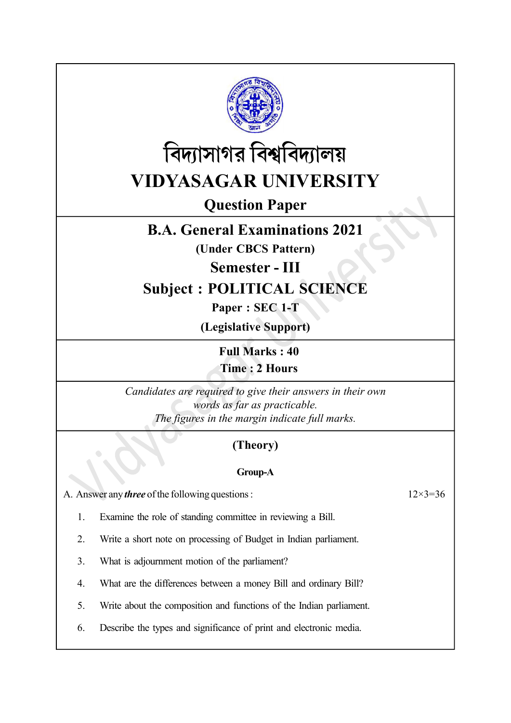



# Question Paper

## B.A. General Examinations 2021

(Under CBCS Pattern)

Semester - III

## Subject : POLITICAL SCIENCE

Paper : SEC 1-T

(Legislative Support)

Full Marks : 40 Time : 2 Hours

Candidates are required to give their answers in their own words as far as practicable. The figures in the margin indicate full marks.

## (Theory)

### Group-A

A. Answer any *three* of the following questions :  $12 \times 3 = 36$ 

1. Examine the role of standing committee in reviewing a Bill.

2. Write a short note on processing of Budget in Indian parliament.

- 3. What is adjournment motion of the parliament?
- 4. What are the differences between a money Bill and ordinary Bill?
- 5. Write about the composition and functions of the Indian parliament.
- 6. Describe the types and significance of print and electronic media.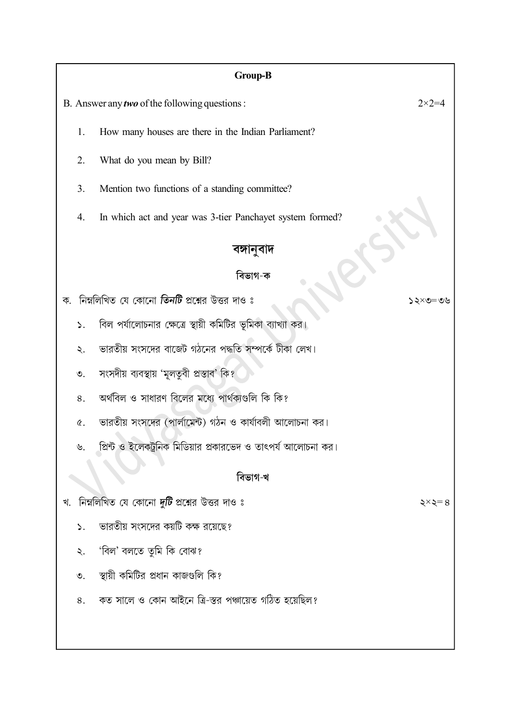### Group-B

- B. Answer any *two* of the following questions :  $2 \times 2 = 4$ 
	- 1. How many houses are there in the Indian Parliament?
	- 2. What do you mean by Bill?
	- 3. Mention two functions of a standing committee?
	- 4. In which act and year was 3-tier Panchayet system formed?

### বঙ্গানুবাদ

#### বিভাগ-ক

- ক. নিম্নলিখিত যে কোনো **তিনটি** প্রশ্নের উত্তর দাও ঃ
	- বিল পর্যালোচনার ক্ষেত্রে স্থায়ী কমিটির ভূমিকা ব্যাখ্যা কর।  $\mathcal{L}$ .
	- ভারতীয় সংসদের বাজেট গঠনের পদ্ধতি সম্পর্কে টীকা লেখ।  $\lambda$ .
	- সংসদীয় ব্যবস্থায় 'মূলতুবী প্রস্তাব' কি?  $\mathcal{O}_{1}$
	- অৰ্থবিল ও সাধারণ বিলের মধ্যে পার্থক্যগুলি কি কি? 8.
	- ভারতীয় সংসদের (পার্লামেন্ট) গঠন ও কার্যাবলী আলোচনা কর।  $\alpha$ .
	- প্রিন্ট ও ইলেকট্রনিক মিডিয়ার প্রকারভেদ ও তাৎপর্য আলোচনা কর।  $\mathcal{P}$

#### বিভাগ-খ

- খ. নিম্নলিখিত যে কোনো দুটি প্রশ্নের উত্তর দাও ঃ
	- ভারতীয় সংসদের কয়টি কক্ষ রয়েছে?  $\mathsf{S}$ .
	- 'বিল' বলতে তুমি কি বোঝ?  $\ddot{\mathcal{L}}$ .
	- স্থায়ী কমিটির প্রধান কাজগুলি কি?  $\mathcal{O}$ .
	- কত সালে ও কোন আইনে ত্রি-স্তর পঞ্চায়েত গঠিত হয়েছিল? 8.

 $\xi \times \xi = 8$ 

 $20 = 20 \times 22$